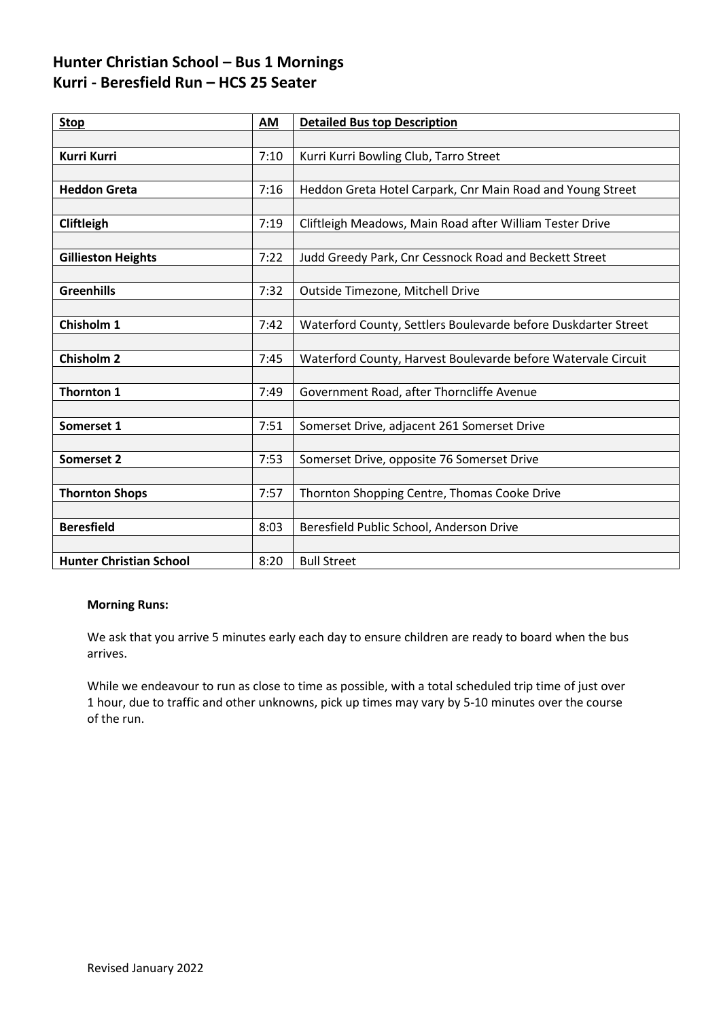### **Hunter Christian School – Bus 1 Mornings Kurri - Beresfield Run – HCS 25 Seater**

| <b>Stop</b>                    | AM   | <b>Detailed Bus top Description</b>                            |
|--------------------------------|------|----------------------------------------------------------------|
|                                |      |                                                                |
| Kurri Kurri                    | 7:10 | Kurri Kurri Bowling Club, Tarro Street                         |
|                                |      |                                                                |
| <b>Heddon Greta</b>            | 7:16 | Heddon Greta Hotel Carpark, Cnr Main Road and Young Street     |
|                                |      |                                                                |
| Cliftleigh                     | 7:19 | Cliftleigh Meadows, Main Road after William Tester Drive       |
|                                |      |                                                                |
| <b>Gillieston Heights</b>      | 7:22 | Judd Greedy Park, Cnr Cessnock Road and Beckett Street         |
|                                |      |                                                                |
| <b>Greenhills</b>              | 7:32 | Outside Timezone, Mitchell Drive                               |
|                                |      |                                                                |
| Chisholm 1                     | 7:42 | Waterford County, Settlers Boulevarde before Duskdarter Street |
|                                |      |                                                                |
| <b>Chisholm 2</b>              | 7:45 | Waterford County, Harvest Boulevarde before Watervale Circuit  |
|                                |      |                                                                |
| <b>Thornton 1</b>              | 7:49 | Government Road, after Thorncliffe Avenue                      |
|                                |      |                                                                |
| Somerset 1                     | 7:51 | Somerset Drive, adjacent 261 Somerset Drive                    |
|                                |      |                                                                |
| <b>Somerset 2</b>              | 7:53 | Somerset Drive, opposite 76 Somerset Drive                     |
|                                |      |                                                                |
| <b>Thornton Shops</b>          | 7:57 | Thornton Shopping Centre, Thomas Cooke Drive                   |
|                                |      |                                                                |
| <b>Beresfield</b>              | 8:03 | Beresfield Public School, Anderson Drive                       |
|                                |      |                                                                |
| <b>Hunter Christian School</b> | 8:20 | <b>Bull Street</b>                                             |

#### **Morning Runs:**

We ask that you arrive 5 minutes early each day to ensure children are ready to board when the bus arrives.

While we endeavour to run as close to time as possible, with a total scheduled trip time of just over 1 hour, due to traffic and other unknowns, pick up times may vary by 5-10 minutes over the course of the run.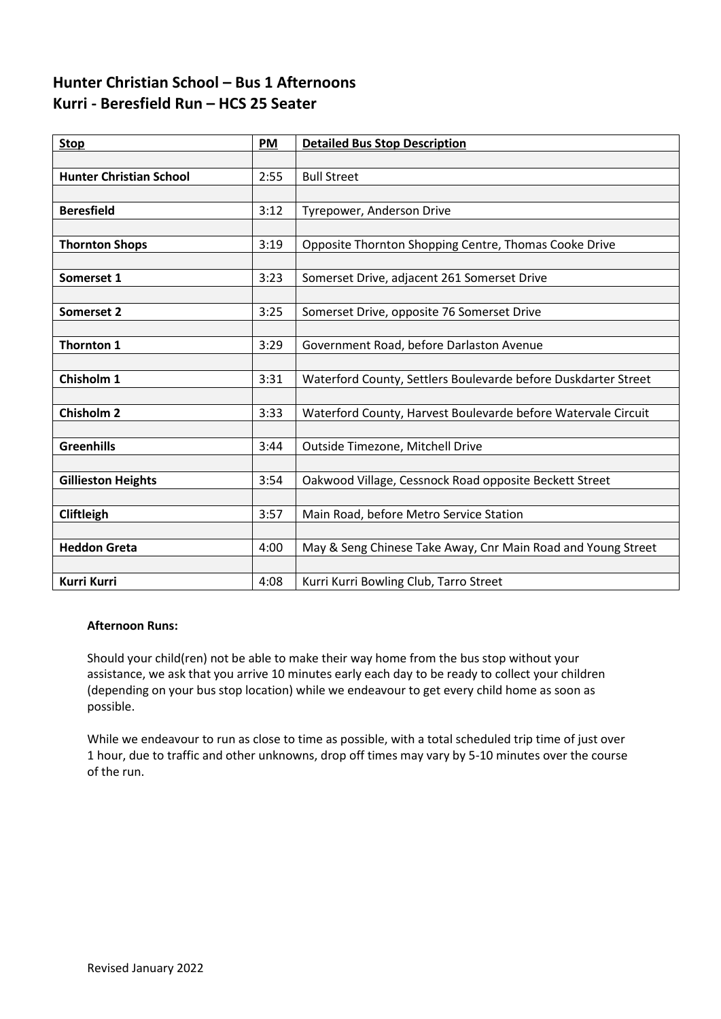## **Hunter Christian School – Bus 1 Afternoons Kurri - Beresfield Run – HCS 25 Seater**

| <b>Stop</b>                    | PM   | <b>Detailed Bus Stop Description</b>                           |
|--------------------------------|------|----------------------------------------------------------------|
|                                |      |                                                                |
| <b>Hunter Christian School</b> | 2:55 | <b>Bull Street</b>                                             |
|                                |      |                                                                |
| <b>Beresfield</b>              | 3:12 | Tyrepower, Anderson Drive                                      |
|                                |      |                                                                |
| <b>Thornton Shops</b>          | 3:19 | Opposite Thornton Shopping Centre, Thomas Cooke Drive          |
|                                |      |                                                                |
| Somerset 1                     | 3:23 | Somerset Drive, adjacent 261 Somerset Drive                    |
|                                |      |                                                                |
| Somerset 2                     | 3:25 | Somerset Drive, opposite 76 Somerset Drive                     |
|                                |      |                                                                |
| <b>Thornton 1</b>              | 3:29 | Government Road, before Darlaston Avenue                       |
|                                |      |                                                                |
| Chisholm 1                     | 3:31 | Waterford County, Settlers Boulevarde before Duskdarter Street |
|                                |      |                                                                |
| <b>Chisholm 2</b>              | 3:33 | Waterford County, Harvest Boulevarde before Watervale Circuit  |
|                                |      |                                                                |
| <b>Greenhills</b>              | 3:44 | Outside Timezone, Mitchell Drive                               |
|                                |      |                                                                |
| <b>Gillieston Heights</b>      | 3:54 | Oakwood Village, Cessnock Road opposite Beckett Street         |
|                                |      |                                                                |
| Cliftleigh                     | 3:57 | Main Road, before Metro Service Station                        |
|                                |      |                                                                |
| <b>Heddon Greta</b>            | 4:00 | May & Seng Chinese Take Away, Cnr Main Road and Young Street   |
|                                |      |                                                                |
| Kurri Kurri                    | 4:08 | Kurri Kurri Bowling Club, Tarro Street                         |

#### **Afternoon Runs:**

Should your child(ren) not be able to make their way home from the bus stop without your assistance, we ask that you arrive 10 minutes early each day to be ready to collect your children (depending on your bus stop location) while we endeavour to get every child home as soon as possible.

While we endeavour to run as close to time as possible, with a total scheduled trip time of just over 1 hour, due to traffic and other unknowns, drop off times may vary by 5-10 minutes over the course of the run.